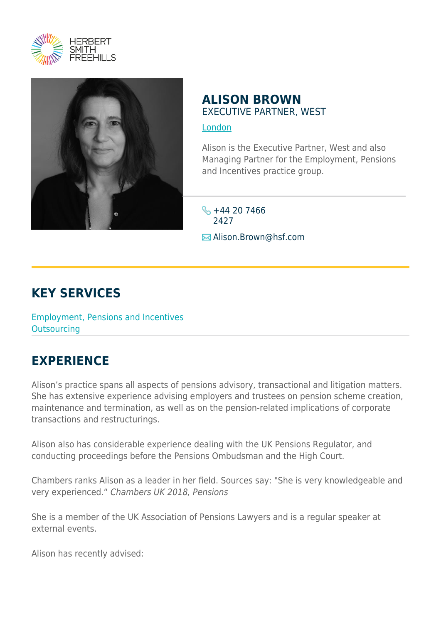



## **ALISON BROWN** EXECUTIVE PARTNER, WEST

## [London](https://www.herbertsmithfreehills.com/lang-ko/where-we-work/london)

Alison is the Executive Partner, West and also Managing Partner for the Employment, Pensions and Incentives practice group.

 $\frac{1}{2}$  +44 20 7466 2427 **E** Alison.Brown@hsf.com

## **KEY SERVICES**

Employment, Pensions and Incentives **Outsourcing** 

## **EXPERIENCE**

Alison's practice spans all aspects of pensions advisory, transactional and litigation matters. She has extensive experience advising employers and trustees on pension scheme creation, maintenance and termination, as well as on the pension-related implications of corporate transactions and restructurings.

Alison also has considerable experience dealing with the UK Pensions Regulator, and conducting proceedings before the Pensions Ombudsman and the High Court.

Chambers ranks Alison as a leader in her field. Sources say: "She is very knowledgeable and very experienced." Chambers UK 2018, Pensions

She is a member of the UK Association of Pensions Lawyers and is a regular speaker at external events.

Alison has recently advised: